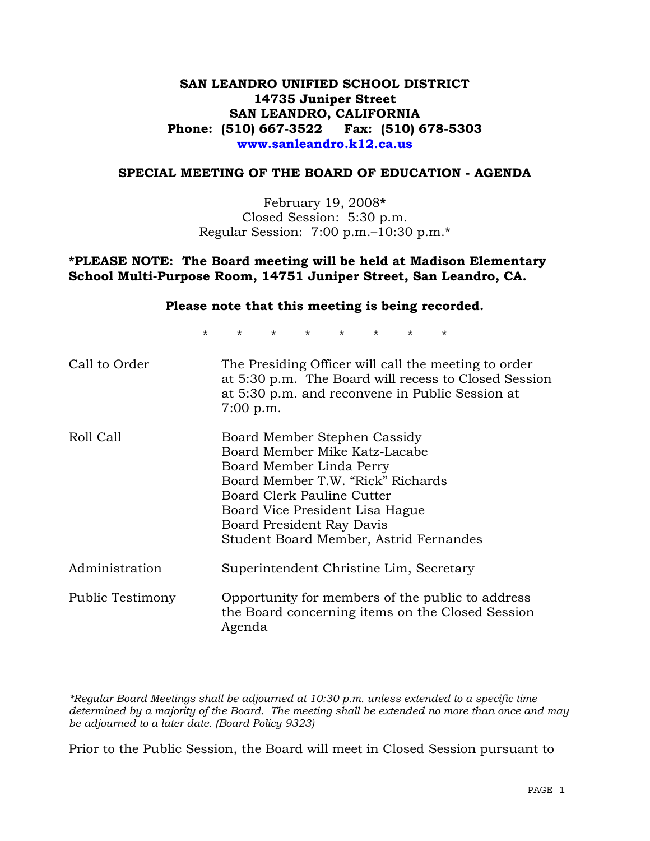## **SAN LEANDRO UNIFIED SCHOOL DISTRICT 14735 Juniper Street SAN LEANDRO, CALIFORNIA Phone: (510) 667-3522 Fax: (510) 678-5303 www.sanleandro.k12.ca.us**

#### **SPECIAL MEETING OF THE BOARD OF EDUCATION - AGENDA**

February 19, 2008**\***  Closed Session: 5:30 p.m. Regular Session: 7:00 p.m.–10:30 p.m.\*

#### **\*PLEASE NOTE: The Board meeting will be held at Madison Elementary School Multi-Purpose Room, 14751 Juniper Street, San Leandro, CA.**

### **Please note that this meeting is being recorded.**

\* \* \* \* \* \* \* \*

| Call to Order    | The Presiding Officer will call the meeting to order<br>at 5:30 p.m. The Board will recess to Closed Session<br>at 5:30 p.m. and reconvene in Public Session at<br>$7:00$ p.m.                                                                                         |
|------------------|------------------------------------------------------------------------------------------------------------------------------------------------------------------------------------------------------------------------------------------------------------------------|
| Roll Call        | Board Member Stephen Cassidy<br>Board Member Mike Katz-Lacabe<br>Board Member Linda Perry<br>Board Member T.W. "Rick" Richards<br>Board Clerk Pauline Cutter<br>Board Vice President Lisa Hague<br>Board President Ray Davis<br>Student Board Member, Astrid Fernandes |
| Administration   | Superintendent Christine Lim, Secretary                                                                                                                                                                                                                                |
| Public Testimony | Opportunity for members of the public to address<br>the Board concerning items on the Closed Session<br>Agenda                                                                                                                                                         |

*\*Regular Board Meetings shall be adjourned at 10:30 p.m. unless extended to a specific time determined by a majority of the Board. The meeting shall be extended no more than once and may be adjourned to a later date. (Board Policy 9323)* 

Prior to the Public Session, the Board will meet in Closed Session pursuant to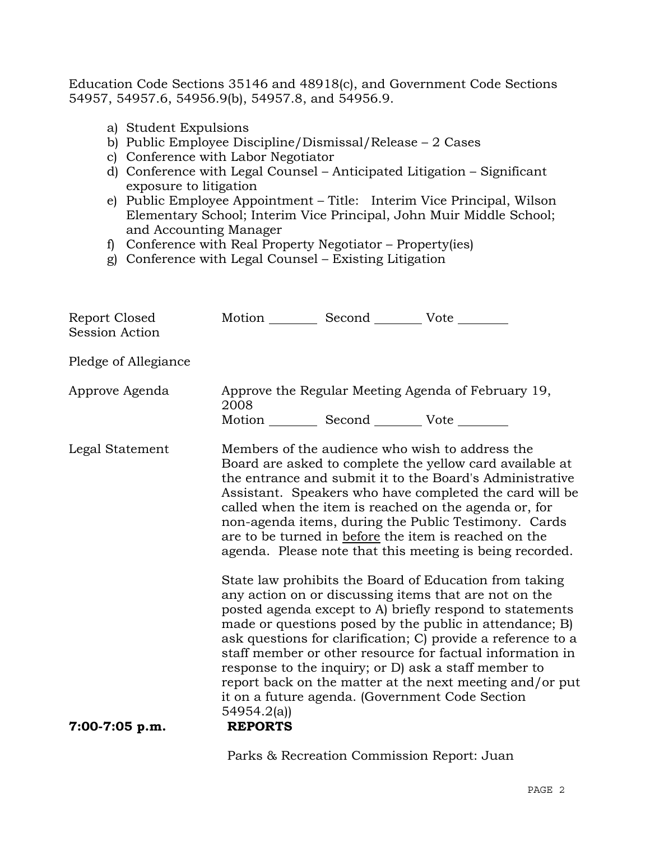Education Code Sections 35146 and 48918(c), and Government Code Sections 54957, 54957.6, 54956.9(b), 54957.8, and 54956.9.

- a) Student Expulsions
- b) Public Employee Discipline/Dismissal/Release 2 Cases
- c) Conference with Labor Negotiator
- d) Conference with Legal Counsel Anticipated Litigation Significant exposure to litigation
- e) Public Employee Appointment Title: Interim Vice Principal, Wilson Elementary School; Interim Vice Principal, John Muir Middle School; and Accounting Manager
- f) Conference with Real Property Negotiator Property(ies)
- g) Conference with Legal Counsel Existing Litigation

| 2008                                                                                                                                                                                                                                                                                                                                                                                                                                                                     |  |                                                                                                                                                                                                                                                                                                                                                                                                                                                                                                                                                                                                                                                                                                                                   |
|--------------------------------------------------------------------------------------------------------------------------------------------------------------------------------------------------------------------------------------------------------------------------------------------------------------------------------------------------------------------------------------------------------------------------------------------------------------------------|--|-----------------------------------------------------------------------------------------------------------------------------------------------------------------------------------------------------------------------------------------------------------------------------------------------------------------------------------------------------------------------------------------------------------------------------------------------------------------------------------------------------------------------------------------------------------------------------------------------------------------------------------------------------------------------------------------------------------------------------------|
| Members of the audience who wish to address the<br>Board are asked to complete the yellow card available at<br>the entrance and submit it to the Board's Administrative<br>Assistant. Speakers who have completed the card will be<br>called when the item is reached on the agenda or, for<br>non-agenda items, during the Public Testimony. Cards<br>are to be turned in before the item is reached on the<br>agenda. Please note that this meeting is being recorded. |  |                                                                                                                                                                                                                                                                                                                                                                                                                                                                                                                                                                                                                                                                                                                                   |
| 54954.2(a)<br><b>REPORTS</b>                                                                                                                                                                                                                                                                                                                                                                                                                                             |  |                                                                                                                                                                                                                                                                                                                                                                                                                                                                                                                                                                                                                                                                                                                                   |
|                                                                                                                                                                                                                                                                                                                                                                                                                                                                          |  | Motion __________ Second __________ Vote ________<br>Approve the Regular Meeting Agenda of February 19,<br>Motion __________ Second __________ Vote ________<br>State law prohibits the Board of Education from taking<br>any action on or discussing items that are not on the<br>posted agenda except to A) briefly respond to statements<br>made or questions posed by the public in attendance; B)<br>ask questions for clarification; C) provide a reference to a<br>staff member or other resource for factual information in<br>response to the inquiry; or D) ask a staff member to<br>report back on the matter at the next meeting and/or put<br>it on a future agenda. (Government Code Section<br><u>nion 'n 'n i</u> |

Parks & Recreation Commission Report: Juan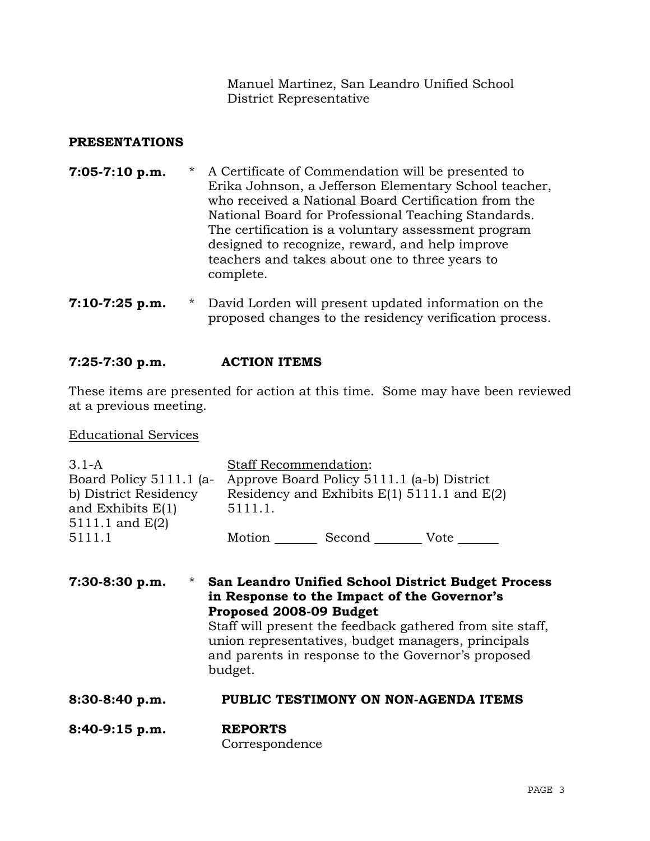Manuel Martinez, San Leandro Unified School District Representative

### **PRESENTATIONS**

- **7:05-7:10 p.m.** \* A Certificate of Commendation will be presented to Erika Johnson, a Jefferson Elementary School teacher, who received a National Board Certification from the National Board for Professional Teaching Standards. The certification is a voluntary assessment program designed to recognize, reward, and help improve teachers and takes about one to three years to complete.
- **7:10-7:25 p.m.** \* David Lorden will present updated information on the proposed changes to the residency verification process.

### **7:25-7:30 p.m. ACTION ITEMS**

These items are presented for action at this time. Some may have been reviewed at a previous meeting.

Educational Services

| $3.1-A$                   | <b>Staff Recommendation:</b>                              |  |  |
|---------------------------|-----------------------------------------------------------|--|--|
| Board Policy $5111.1$ (a- | Approve Board Policy 5111.1 (a-b) District                |  |  |
| b) District Residency     | Residency and Exhibits $E(1)$ 5111.1 and $E(2)$           |  |  |
| and Exhibits $E(1)$       | 5111.1.                                                   |  |  |
| 5111.1 and $E(2)$         |                                                           |  |  |
| 5111.1                    | Motion _________ Second __________ Vote _______           |  |  |
|                           |                                                           |  |  |
|                           |                                                           |  |  |
| $7:30-8:30 p.m.$          | * San Leandro Unified School District Budget Process      |  |  |
|                           | in Response to the Impact of the Governor's               |  |  |
|                           |                                                           |  |  |
|                           | Proposed 2008-09 Budget                                   |  |  |
|                           | Staff will present the feedback gathered from site staff, |  |  |
|                           | union representatives, budget managers, principals        |  |  |
|                           | and parents in response to the Governor's proposed        |  |  |
|                           | budget.                                                   |  |  |
|                           |                                                           |  |  |
| 8:30-8:40 p.m.            | PUBLIC TESTIMONY ON NON-AGENDA ITEMS                      |  |  |
|                           |                                                           |  |  |
| $8:40-9:15$ p.m.          | <b>REPORTS</b><br>Correspondence                          |  |  |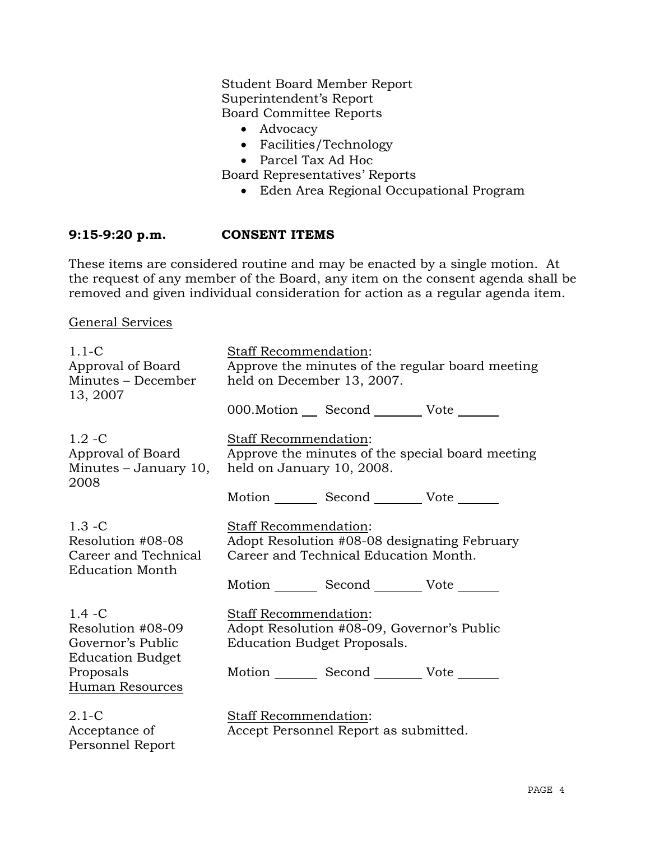Student Board Member Report Superintendent's Report Board Committee Reports

- Advocacy
- Facilities/Technology
- Parcel Tax Ad Hoc

Board Representatives' Reports

• Eden Area Regional Occupational Program

### **9:15-9:20 p.m. CONSENT ITEMS**

These items are considered routine and may be enacted by a single motion. At the request of any member of the Board, any item on the consent agenda shall be removed and given individual consideration for action as a regular agenda item.

General Services

Personnel Report

| $1.1 - C$<br>Approval of Board<br>Minutes - December<br>13, 2007                                               | Staff Recommendation:<br>Approve the minutes of the regular board meeting<br>held on December 13, 2007. |                                                                                                                              |                                                  |
|----------------------------------------------------------------------------------------------------------------|---------------------------------------------------------------------------------------------------------|------------------------------------------------------------------------------------------------------------------------------|--------------------------------------------------|
|                                                                                                                |                                                                                                         | 000. Motion Second Vote                                                                                                      |                                                  |
| $1.2 - C$<br>Approval of Board<br>Minutes - January 10,<br>2008                                                | Staff Recommendation:<br>held on January 10, 2008.                                                      | Motion _________ Second __________ Vote _______                                                                              | Approve the minutes of the special board meeting |
| $1.3 - C$<br>Resolution #08-08<br>Career and Technical<br><b>Education Month</b>                               | Staff Recommendation:                                                                                   | Career and Technical Education Month.<br>Motion Second Vote ______                                                           | Adopt Resolution #08-08 designating February     |
| $1.4 - C$<br>Resolution #08-09<br>Governor's Public<br><b>Education Budget</b><br>Proposals<br>Human Resources | Staff Recommendation:                                                                                   | Adopt Resolution #08-09, Governor's Public<br>Education Budget Proposals.<br>Motion _________ Second __________ Vote _______ |                                                  |
| $2.1-C$<br>Acceptance of                                                                                       | <b>Staff Recommendation:</b>                                                                            | Accept Personnel Report as submitted.                                                                                        |                                                  |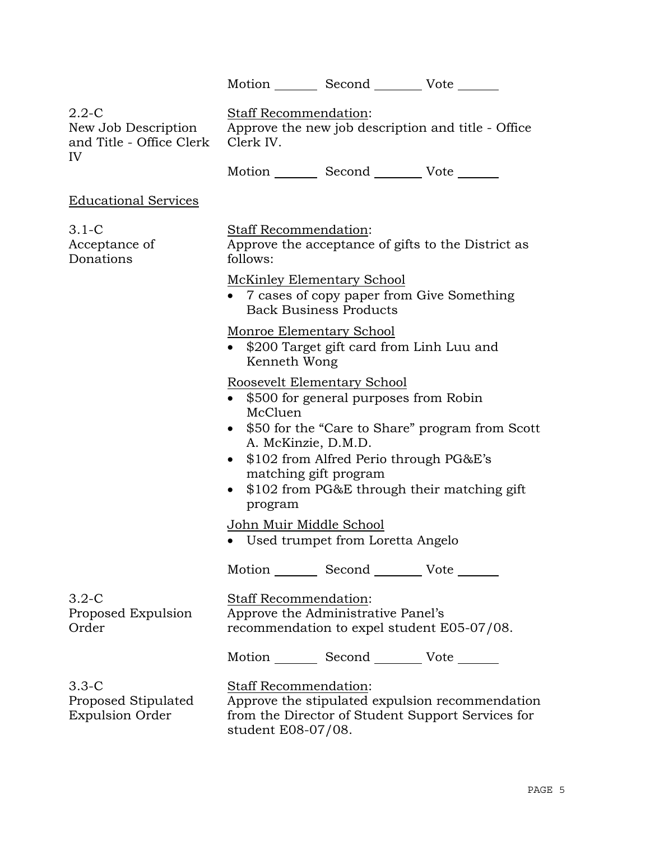|                                                                    |                                                                                                                                                                                                                             |                       | Motion _________ Second __________ Vote _______                                                                                          |  |
|--------------------------------------------------------------------|-----------------------------------------------------------------------------------------------------------------------------------------------------------------------------------------------------------------------------|-----------------------|------------------------------------------------------------------------------------------------------------------------------------------|--|
| $2.2 - C$<br>New Job Description<br>and Title - Office Clerk<br>IV | Staff Recommendation:<br>Approve the new job description and title - Office<br>Clerk IV.                                                                                                                                    |                       |                                                                                                                                          |  |
|                                                                    |                                                                                                                                                                                                                             |                       | Motion _________ Second __________ Vote _______                                                                                          |  |
| <b>Educational Services</b>                                        |                                                                                                                                                                                                                             |                       |                                                                                                                                          |  |
| $3.1-C$<br>Acceptance of<br>Donations                              | Staff Recommendation:<br>Approve the acceptance of gifts to the District as<br>follows:                                                                                                                                     |                       |                                                                                                                                          |  |
|                                                                    | <b>McKinley Elementary School</b><br>• 7 cases of copy paper from Give Something<br><b>Back Business Products</b>                                                                                                           |                       |                                                                                                                                          |  |
|                                                                    | Monroe Elementary School<br>\$200 Target gift card from Linh Luu and<br>$\bullet$<br>Kenneth Wong                                                                                                                           |                       |                                                                                                                                          |  |
|                                                                    | Roosevelt Elementary School<br>• \$500 for general purposes from Robin<br>McCluen<br>$\bullet$<br>A. McKinzie, D.M.D.<br>$\bullet$<br>$\bullet$<br>program<br>John Muir Middle School<br>• Used trumpet from Loretta Angelo | matching gift program | \$50 for the "Care to Share" program from Scott<br>\$102 from Alfred Perio through PG&E's<br>\$102 from PG&E through their matching gift |  |
|                                                                    |                                                                                                                                                                                                                             |                       | Motion Second Vote                                                                                                                       |  |
| $3.2 - C$<br>Proposed Expulsion<br>Order                           | Staff Recommendation:<br>Approve the Administrative Panel's                                                                                                                                                                 |                       | recommendation to expel student E05-07/08.                                                                                               |  |
|                                                                    |                                                                                                                                                                                                                             |                       | Motion _________ Second __________ Vote _______                                                                                          |  |
| $3.3 - C$<br>Proposed Stipulated<br><b>Expulsion Order</b>         | Staff Recommendation:<br>student E08-07/08.                                                                                                                                                                                 |                       | Approve the stipulated expulsion recommendation<br>from the Director of Student Support Services for                                     |  |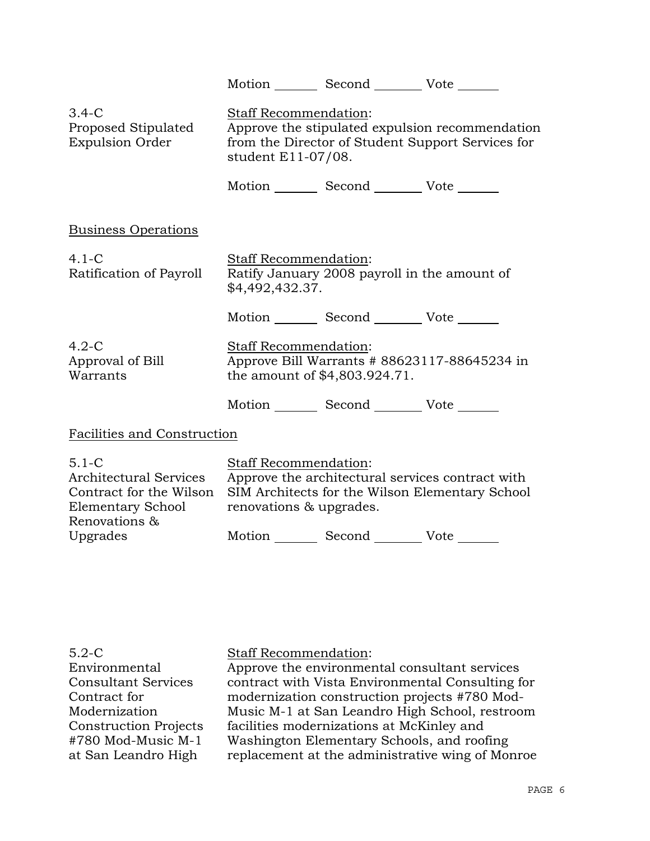|                                                                                                             |                                                        | Motion _________ Second __________ Vote _______ |                                                                                                      |
|-------------------------------------------------------------------------------------------------------------|--------------------------------------------------------|-------------------------------------------------|------------------------------------------------------------------------------------------------------|
| $3.4-C$<br>Proposed Stipulated<br><b>Expulsion Order</b>                                                    | <b>Staff Recommendation:</b><br>student E11-07/08.     |                                                 | Approve the stipulated expulsion recommendation<br>from the Director of Student Support Services for |
|                                                                                                             |                                                        | Motion _________ Second __________ Vote _______ |                                                                                                      |
| <b>Business Operations</b>                                                                                  |                                                        |                                                 |                                                                                                      |
| $4.1-C$<br>Ratification of Payroll                                                                          | Staff Recommendation:<br>\$4,492,432.37.               | Ratify January 2008 payroll in the amount of    |                                                                                                      |
|                                                                                                             |                                                        | Motion _________ Second __________ Vote _______ |                                                                                                      |
| $4.2-C$<br>Approval of Bill<br>Warrants                                                                     | Staff Recommendation:<br>the amount of \$4,803.924.71. |                                                 | Approve Bill Warrants # 88623117-88645234 in                                                         |
|                                                                                                             |                                                        | Motion _________ Second __________ Vote _______ |                                                                                                      |
| Facilities and Construction                                                                                 |                                                        |                                                 |                                                                                                      |
| $5.1 - C$<br><b>Architectural Services</b><br>Contract for the Wilson<br>Elementary School<br>Renovations & | Staff Recommendation:<br>renovations & upgrades.       |                                                 | Approve the architectural services contract with<br>SIM Architects for the Wilson Elementary School  |
| Upgrades                                                                                                    |                                                        | Motion _________ Second __________ Vote _______ |                                                                                                      |

| $5.2-C$                      |
|------------------------------|
| Environmental                |
| <b>Consultant Services</b>   |
| Contract for                 |
| Modernization                |
| <b>Construction Projects</b> |
| #780 Mod-Music M-1           |
| at San Leandro High          |

## Staff Recommendation:

Approve the environmental consultant services contract with Vista Environmental Consulting for modernization construction projects #780 Mod-Music M-1 at San Leandro High School, restroom facilities modernizations at McKinley and Washington Elementary Schools, and roofing replacement at the administrative wing of Monroe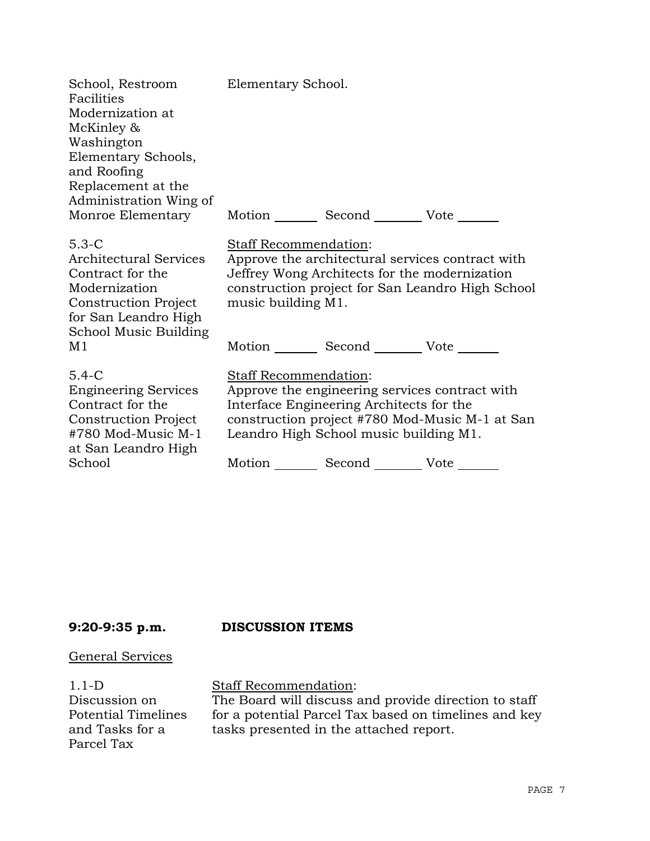| School, Restroom<br>Facilities<br>Modernization at<br>McKinley &<br>Washington<br>Elementary Schools,<br>and Roofing<br>Replacement at the<br>Administration Wing of | Elementary School.                                                                                                                                            |                                                                                                      |
|----------------------------------------------------------------------------------------------------------------------------------------------------------------------|---------------------------------------------------------------------------------------------------------------------------------------------------------------|------------------------------------------------------------------------------------------------------|
| Monroe Elementary                                                                                                                                                    | Motion Second Vote ______                                                                                                                                     |                                                                                                      |
| $5.3-C$<br><b>Architectural Services</b><br>Contract for the<br>Modernization<br><b>Construction Project</b><br>for San Leandro High<br>School Music Building        | <b>Staff Recommendation:</b><br>Jeffrey Wong Architects for the modernization<br>music building M1.                                                           | Approve the architectural services contract with<br>construction project for San Leandro High School |
| M1                                                                                                                                                                   | Motion _________ Second _________ Vote _______                                                                                                                |                                                                                                      |
| $5.4 - C$<br><b>Engineering Services</b><br>Contract for the<br><b>Construction Project</b><br>#780 Mod-Music M-1<br>at San Leandro High<br>School                   | Staff Recommendation:<br>Approve the engineering services contract with<br>Interface Engineering Architects for the<br>Leandro High School music building M1. | construction project #780 Mod-Music M-1 at San                                                       |
|                                                                                                                                                                      | Motion Second Vote                                                                                                                                            |                                                                                                      |

# **9:20-9:35 p.m. DISCUSSION ITEMS**

### General Services

1.1-D Discussion on Potential Timelines and Tasks for a Parcel Tax

Staff Recommendation:

The Board will discuss and provide direction to staff for a potential Parcel Tax based on timelines and key tasks presented in the attached report.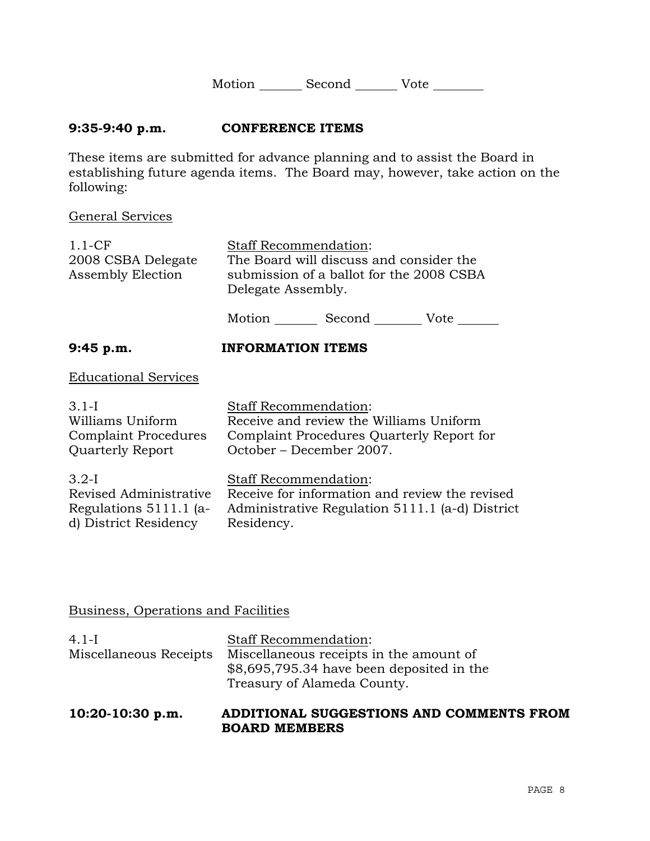| Motion | Second | Vote |  |
|--------|--------|------|--|
|        |        |      |  |

### **9:35-9:40 p.m. CONFERENCE ITEMS**

These items are submitted for advance planning and to assist the Board in establishing future agenda items. The Board may, however, take action on the following:

#### General Services

| $1.1-CF$<br>2008 CSBA Delegate<br><b>Assembly Election</b>                           | Staff Recommendation:<br>The Board will discuss and consider the<br>submission of a ballot for the 2008 CSBA<br>Delegate Assembly.              |
|--------------------------------------------------------------------------------------|-------------------------------------------------------------------------------------------------------------------------------------------------|
|                                                                                      | Motion Second Vote                                                                                                                              |
| 9:45 p.m.                                                                            | <b>INFORMATION ITEMS</b>                                                                                                                        |
| <b>Educational Services</b>                                                          |                                                                                                                                                 |
| 3.1-I<br>Williams Uniform<br><b>Complaint Procedures</b><br><b>Quarterly Report</b>  | Staff Recommendation:<br>Receive and review the Williams Uniform<br>Complaint Procedures Quarterly Report for<br>October – December 2007.       |
| $3.2-I$<br>Revised Administrative<br>Regulations 5111.1 (a-<br>d) District Residency | <b>Staff Recommendation:</b><br>Receive for information and review the revised<br>Administrative Regulation 5111.1 (a-d) District<br>Residency. |

# Business, Operations and Facilities

| 10:20-10:30 p.m.       | ADDITIONAL SUGGESTIONS AND COMMENTS FROM                                                                            |
|------------------------|---------------------------------------------------------------------------------------------------------------------|
| Miscellaneous Receipts | Miscellaneous receipts in the amount of<br>\$8,695,795.34 have been deposited in the<br>Treasury of Alameda County. |
| $4.1-I$                | <b>Staff Recommendation:</b>                                                                                        |

**BOARD MEMBERS**